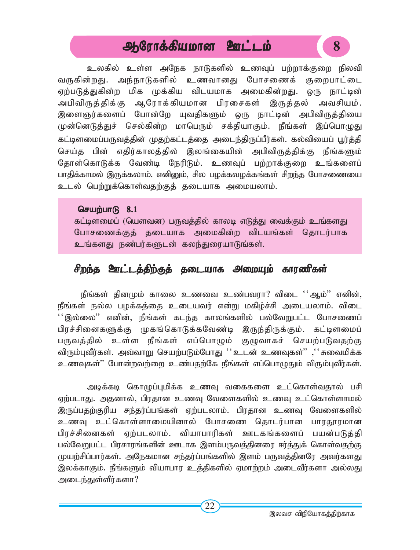# ஆரோக்கியமான ஊட்டம் **8**

உலகில் உள்ள அநேக நாடுகளில் உணவுப் பற்றாக்குறை நிலவி வருகின்றது. அந்நாடுகளில் உணவானது போசணைக் குறைபாட்டை ஏற்படுத்துகின்ற மிக முக்கிய விடயமாக அமைகின்றது. ஒரு நாட்டின் அபிவிருத்திக்கு ஆரோக்கியமான பிரசைகள் இருத்தல் அவசியம். இளைஞர்களைப் போன்றே யுவதிகளும் ஒரு நாட்டின் அபிவிருத்தியை முன்னெடுத்துச் செல்கின்ற மாபெரும் சக்தியாகும். நீங்கள் இப்பொழுது கட்டிளமைப்பருவத்தின் முதற்கட்டத்தை அடைந்திருப்பீர்கள். கல்வியைப் பூர்த்தி செய்த பின் எதிர்காலத்தில் இலங்கையின் அபிவிருத்திக்கு நீங்களும் தோள்கொடுக்க வேண்டி நேரிடும். உணவுப் பற்றாக்குறை உங்களைப் பாதிக்காமல் இருக்கலாம். எனினும், சில பழக்கவழக்கங்கள் சிறந்த போசணையை உடல் பெற்றுக்கொள்வதற்குத் தடையாக அமையலாம்.

#### செயற்பா $\beta$  8.1

கட்டிளமைப் (யெளவன) பருவத்தில் காலடி எடுத்து வைக்கும் உங்களது போசணைக்குத் தடையாக அமைகின்ற விடயங்கள் தொடர்பாக உங்களது நண்பர்களுடன் கலந்துரையாடுங்கள்.

# சிறந்த ஊட்டத்திற்குத் தடையாக அமையும் காரணிகள்

நீங்கள் தினமும் காலை உணவை உண்பவரா? விடை  $\cdot$ ஆம் $\cdot$  எனின், நீங்கள் நல்ல பழக்கத்தை உடையவர் என்று மகிழ்ச்சி அடையலாம். விடை  $``$ இல்லை $"$  எனின், நீங்கள் கடந்த காலங்களில் பல்வேறுபட்ட போசணைப் பிரச்சினைகளுக்கு முகங்கொடுக்கவேண்டி இருந்திருக்கும். கட்டிளமைப் பருவத்தில் உள்ள நீங்கள் எப்பொழும் குழுவாகச் செயற்படுவதற்கு விரும்புவீர்கள். அவ்வாறு செயற்படும்போது ''உடன் உணவுகள்'' ,''சுவைமிக்க உணவுகள்'' போன்றவற்றை உண்பதற்கே நீங்கள் எப்பொழுதும் விரும்புவீர்கள்.

அடிக்கடி கொழுப்புமிக்க உணவு வகைகளை உட்கொள்வதால் பசி ஏற்படாது. அதனால், பிரதான உணவு வேளைகளில் உணவு உட்கொள்ளாமல் இருப்பதற்குரிய சந்தர்ப்பங்கள் ஏற்படலாம். பிரதான உணவு வேளைகளில் உணவு உட்கொள்ளாமையினால் போசணை தொடர்பான பாரதூரமான பிரச்சினைகள் ஏற்படலாம். வியாபாரிகள் ஊடகங்களைப் பயன்படுத்தி பல்வேறுபட்ட பிரசாரங்களின் ஊடாக இளம்பருவத்தினரை ஈர்த்துக் கொள்வதற்கு முயற்சிப்பார்கள். அநேகமான சந்தர்ப்பங்களில் இளம் பருவத்தினரே அவர்களது இலக்காகும். நீங்களும் வியாபார உத்திகளில் ஏமாற்றம் அடைவீர்களா அல்லது அடைந்துள்ளீர்களா?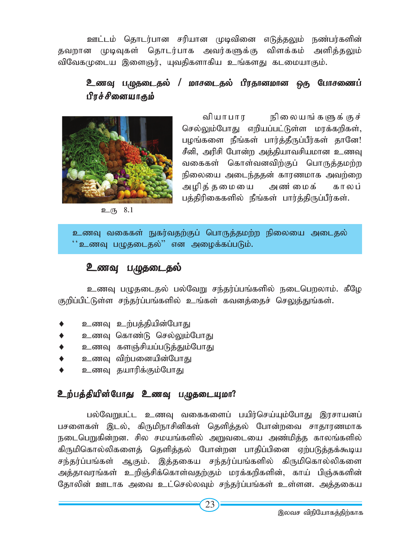ஊட்டம் தொடர்பான சரியான முடிவினை எடுத்தலும் நண்பர்களின் தவறான முடிவுகள் தொடர்பாக அவர்களுக்கு விளக்கம் அளித்தலும் விவேகமுடைய இளைஞர், யுவதிகளாகிய உங்களது கடமையாகும்.

# <u>உணவு</u> பழுதடைதல் / மாசடைதல் பிரதானமான ஒரு போசணைப் பிரச்சினையாகும்



வியாபார நிலையங்களுக்குச் செல்லும்போது எறியப்பட்டுள்ள மரக்கறிகள், பழங்களை நீங்கள் பார்த்தீருப்பீர்கள் தானே! சீனி, அரிசி போன்ற அத்தியாவசியமான உணவு வகைகள் கொள்வனவிற்குப் பொருத்தமற்ற நிலையை அடைந்ததன் காரணமாக அவற்றை அழித்தமையை அண்மைக் காலப் பத்திரிகைகளில் நீங்கள் பார்த்திருப்பீர்கள்.

 $2(5, 8.1)$ 

உணவு வகைகள் நுகர்வதற்குப் பொருத்தமற்ற நிலையை அடைதல்  $``$ உணவு பமுதடைதல் $"$  என அழைக்கப்படும்.

# உணவு பழுதடைதல்

உணவு பழுதடைதல் பல்வேறு சந்தர்ப்பங்களில் நடைபெறலாம். கீழே குறிப்பிட்டுள்ள சந்தர்ப்பங்களில் உங்கள் கவனத்தைச் செலுத்துங்கள்.

- உணவு உற்பத்தியின்போது
- உணவு கொண்டு செல்லும்போது
- உணவு களஞ்சியப்படுத்தும்போது
- உணவு விற்பனையின்போது
- உணவு தயாரிக்கும்போது

# உற்பத்தியின்போது உணவு பழுதடையுமா?

பல்வேறுபட்ட உணவு வகைகளைப் பயிர்செய்யும்போது இரசாயனப் பசளைகள் இடல், கிருமிநாசினிகள் தெளித்தல் போன்றவை சாதாரணமாக நடைபெறுகின்றன. சில சமயங்களில் அறுவடையை அண்மித்த காலங்களில் கிருமிகொல்லிகளைத் தெளித்தல் போன்றன பாதிப்பினை ஏற்படுத்தக்கூடிய சந்தர்ப்பங்கள் ஆகும். இத்தகைய சந்தர்ப்பங்களில் கிருமிகொல்லிகளை அத்தாவரங்கள் உறிஞ்சிக்கொள்வதற்கும் மரக்கறிகளின், காய் பிஞ்சுகளின் தோலின் ஊடாக அவை உட்செல்லவும் சந்தர்ப்பங்கள் உள்ளன. அத்தகைய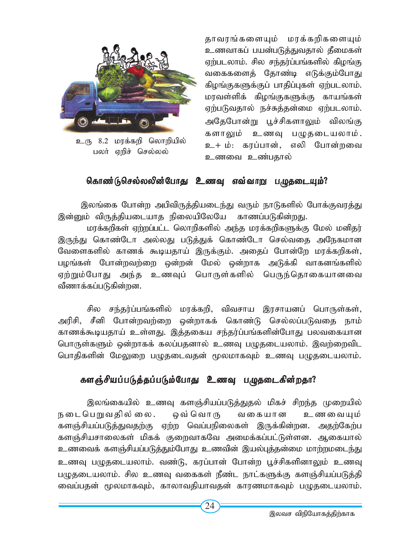

உரு 8.2 மரக்கறி லொறியில் பலர் ஏறிச் செல்லல்

தாவரங்களையும் மரக்கறிகளையும் உணவாகப் பயன்படுத்துவதால் தீமைகள் ஏற்படலாம். சில சந்தர்ப்பங்களில் கிழங்கு வகைகளைத் தோண்டி எடுக்கும்போது கிழங்குகளுக்குப் பாதிப்புகள் ஏற்படலாம். மரவள்ளிக் கிழங்குகளுக்கு காயங்கள் ஏற்படுவதால் நச்சுத்தன்மை ஏற்படலாம். அதேபோன்று பூச்சிகளாலும் விலங்கு களாலும் உணவு பழுதடையலாம். உ+ ம்: கரப்பான், எலி போன்றவை உணவை உண்பதால்

# கொண்டுகெல்லலின்போது உணவு எவ்வாறு பழுதடையும்?

இலங்கை போன்ற அபிவிருத்தியடைந்து வரும் நாடுகளில் போக்குவரத்து இன்னும் விருத்தியடையாத நிலையிலேயே காணப்படுகின்றது.

மரக்கறிகள் ஏற்றப்பட்ட லொறிகளில் அந்த மரக்கறிகளுக்கு மேல் மனிதர் இருந்து கொண்டோ அல்லது படுத்துக் கொண்டோ செல்வதை அநேகமான வேளைகளில் காணக் கூடியதாய் இருக்கும். அதைப் போன்றே மரக்கறிகள், பழங்கள் போன்றவற்றை ஒன்றன் மேல் ஒன்றாக அடுக்கி வாகனங்களில் ஏற்றும்போது அந்த உணவுப் பொருள்களில் பெருந்தொகையானவை வீணாக்கப்படுகின்றன.

சில சந்தர்ப்பங்களில் மரக்கறி, விவசாய இரசாயனப் பொருள்கள், அரிசி, சீனி போன்றவற்றை ஒன்றாகக் கொண்டு செல்லப்படுவதை நாம் காணக்கூடியதாய் உள்ளது. இத்தகைய சந்தர்ப்பங்களின்போது பலவகையான பொருள்களும் ஒன்றாகக் கலப்பதனால் உணவு பமுதடையலாம். இவற்றைவிட பொதிகளின் மேலுறை பழுதடைவதன் மூலமாகவும் உணவு பழுதடையலாம்.

# களஞ்சியப்படுத்தப்படும்போது உணவு பழுதடைகின்றதா?

இலங்கையில் உணவு களஞ்சியப்படுத்துதல் மிகச் சிறந்த முறையில் நடைபெறுவதில்லை. ஒவ்வொரு வகையான உணவையும் களஞ்சியப்படுத்துவதற்கு ஏற்ற வெப்பநிலைகள் இருக்கின்றன. அதற்கேற்ப களஞ்சியசாலைகள் மிகக் குறைவாகவே அமைக்கப்பட்டுள்ளன. ஆகையால் உணவைக் களஞ்சியப்படுத்தும்போது உணவின் இயல்புத்தன்மை மாற்றமடைந்து உணவு பழுதடையலாம். வண்டு, கரப்பான் போன்ற பூச்சிகளினாலும் உணவு பமுதடையலாம். சில உணவு வகைகள் நீண்ட நாட்களுக்கு களஞ்சியப்படுத்தி வைப்பதன் மூலமாகவும், காலாவதியாவதன் காரணமாகவும் பமுதடையலாம்.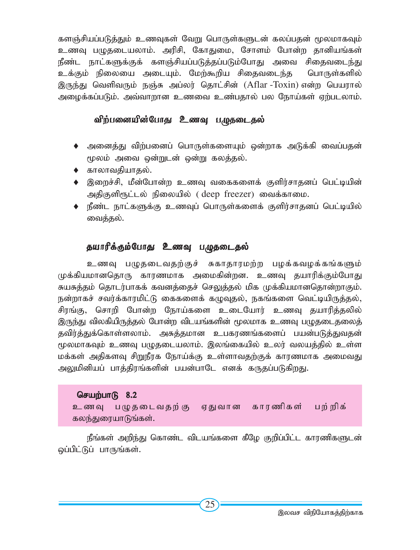களஞ்சியப்படுத்தும் உணவுகள் வேறு பொருள்களுடன் கலப்பதன் மூலமாகவும் உணவு பழுதடையலாம். அரிசி, கோதுமை, சோளம் போன்ற தானியங்கள் நீண்ட நாட்களுக்குக் களஞ்சியப்படுத்தப்படும்போது அவை சிதைவடைந்து உக்கும் நிலையை அடையும். மேற்கூறிய சிகைவடைந்த பொருள்களில் <u>இருந்து</u> வெளிவரும் நஞ்சு அப்லர் தொட்சின் (Aflar -Toxin) என்ற பெயரால் அழைக்கப்படும். அவ்வாறான உணவை உண்பதால் பல நோய்கள் ஏற்படலாம்.

## விற்பனையின்போது உணவு பழுதடைதல்

- $\blacklozenge$  அனைத்து விற்பனைப் பொருள்களையும் ஒன்றாக அடுக்கி வைப்பதன் மூலம் அவை ஒன்றுடன் ஒன்று கலத்தல்.
- $\blacklozenge$  காலாவதியாதல்.
- $\bullet$  இறைச்சி, மீன்போன்ற உணவு வகைகளைக் குளிர்சாதனப் பெட்டியின் அதிகுளிரூட்டல் நிலையில் ( deep freezer) வைக்காமை.
- $\blacklozenge$  நீண்ட நாட்களுக்கு உணவுப் பொருள்களைக் குளிர்சாதனப் பெட்டியில் வைத்தல்.

### தயாரிக்கும்போது உணவு பழுதடைதல்

உணவு பழுதடைவதற்குச் சுகாதாரமற்ற பழக்கவழக்கங்களும் முக்கியமானதொரு காரணமாக அமைகின்றன. உணவு தயாரிக்கும்போது*,* சுயசுத்தம் தொடர்பாகக் கவனத்தைச் செலுத்தல் மிக முக்கியமானதொன்றாகும். நன்றாகச் சவர்க்காரமிட்டு கைகளைக் கழுவுதல், நகங்களை வெட்டியிருத்தல், சிரங்கு, சொறி போன்ற நோய்களை உடையோர் உணவு தயாரித்தலில் இருந்து விலகியிருத்தல் போன்ற விடயங்களின் மூலமாக உணவு பமுதடைதலைத் தவிர்த்துக்கொள்ளலாம். அசுத்தமான உபகரணங்களைப் பயன்படுத்துவதன் மூலமாகவும் உணவு பமுதடையலாம். இலங்கையில் உலர் வலயத்தில் உள்ள மக்கள் அதிகளவு சிறுநீரக நோய்க்கு உள்ளாவதற்குக் காரணமாக அமைவது அலுமினியப் பாத்திரங்களின் பயன்பாடே எனக் கருதப்படுகிறது.

### செயற்பா $\mathsf{R}$  8.2

உணவு பழுதடைவதற்கு, ஏதுவான காரணிகள் பற்றிக் கலந்துரையாடுங்கள்.

நீங்கள் அறிந்து கொண்ட விடயங்களை கீழே குறிப்பிட்ட காரணிகளுடன் ஒப்பிட்டுப் பாருங்கள்.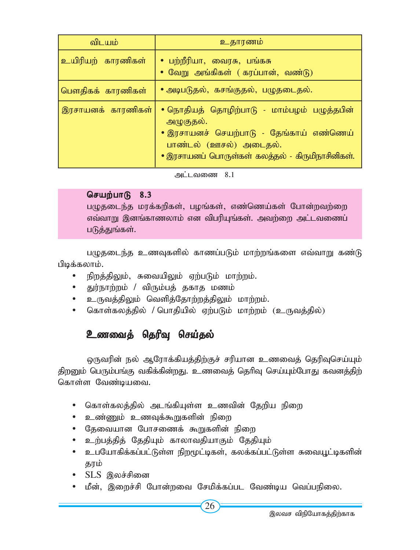| விடயம்            | உதாரணம்                                                                                                                                                                         |
|-------------------|---------------------------------------------------------------------------------------------------------------------------------------------------------------------------------|
| உயிரியற் காரணிகள் | • பற்றீரியா, வைரசு, பங்கசு<br>• வேறு அங்கிகள் ( கரப்பான், வண்டு)                                                                                                                |
| பௌதிகக் காரணிகள்  | • அடிபடுதல், கசங்குதல், பழுதடைதல்.                                                                                                                                              |
| இரசாயனக் காரணிகள் | • நொதியத் தொழிற்பாடு - மாம்பழம் பழுத்தபின்<br>அழுகுதல்.<br>• இரசாயனச் செயற்பாடு - தேங்காய் எண்ணெய்<br>பாண்டல் (ஊசல்) அடைதல்.<br>• இரசாயனப் பொருள்கள் கலத்தல் - கிருமிநாசினிகள். |

 $\mu$ ட்டவணை 8.1

### செயற்பாடு  $8.3$

பழுதடைந்த மரக்கறிகள், பழங்கள், எண்ணெய்கள் போன்றவற்றை எவ்வாறு இனங்காணலாம் என விபரியுங்கள். அவற்றை அட்டவணைப் படுத்துங்கள்.

பழுதடைந்த உணவுகளில் காணப்படும் மாற்றங்களை எவ்வாறு கண்டு பிடிக்கலாம்.

- $\cdot$  நிறத்திலும், சுவையிலும் ஏற்படும் மாற்றம்.
- துர்நாற்றம் / விரும்பத் தகாத மணம்
- உருவத்திலும் வெளித்தோற்றத்திலும் மாற்றம்.
- கொள்கலத்தில் / பொதியில் ஏற்படும் மாற்றம் (உருவத்தில்)

# உணவைத் தெரிவு செய்தல்

டைநவரின் நல் ஆரோக்கியத்திற்குச் சரியான உணவைத் தெரிவுசெய்யும் திறனும் பெரும்பங்கு வகிக்கின்றது. உணவைத் தெரிவு செய்யும்போது கவனத்திற் கொள்ள வேண்டியவை.

- கொள்கலத்தில் அடங்கியுள்ள உணவின் தேறிய நிறை
- உண்ணும் உணவுக்கூறுகளின் நிறை
- தேவையான போசணைக் கூறுகளின் நிறை
- உற்பத்தித் தேதியும் காலாவதியாகும் தேதியும்
- உபயோகிக்கப்பட்டுள்ள நிறமூட்டிகள், கலக்கப்பட்டுள்ள சுவையூட்டிகளின் காம்
- $\bullet$  SLS இலச்சினை
- மீன், இறைச்சி போன்றவை சேமிக்கப்பட வேண்டிய வெப்பநிலை.

26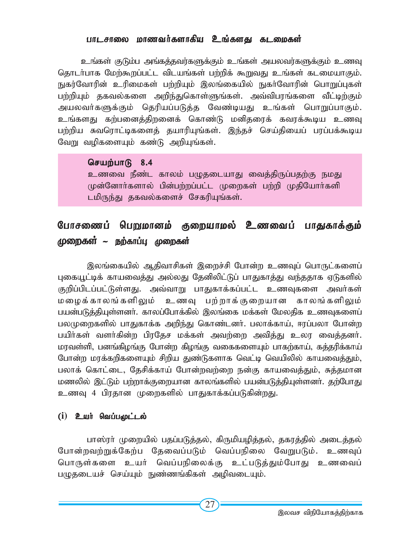#### பாடசாலை மாணவர்களாகிய உங்களது கடறைகள்

உங்கள் குடும்ப அங்கத்தவர்களுக்கும் உங்கள் அயலவர்களுக்கும் உணவு தொடர்பாக மேற்கூறப்பட்ட விடயங்கள் பற்றிக் கூறுவது உங்கள் கடமையாகும். நுகர்வோரின் உரிமைகள் பற்றியும் இலங்கையில் நுகர்வோரின் பொறுப்புகள் பற்றியும் தகவல்களை அறிந்துகொள்ளுங்கள். அவ்விபரங்களை வீட்டிற்கும் அயலவர்களுக்கும் தெரியப்படுத்த வேண்டியது உங்கள் பொறுப்பாகும். உங்களது கற்பனைத்திறனைக் கொண்டு மனிதரைக் கவரக்கூடிய உணவு பற்றிய சுவரொட்டிகளைக் தயாரியுங்கள். இந்கச் செய்கியைப் பரப்பக்கூடிய வேறு வழிகளையும் கண்டு அறியுங்கள்.

செயற்பாடு  $8.4$ உணவை நீண்ட காலம் பமுதடையாது வைத்திருப்பதற்கு நமது முன்னோர்களால் பின்பற்றப்பட்ட முறைகள் பற்றி முதியோர்களி டமிருந்து தகவல்களைச் சேகரியுங்கள்.

# போசணைப் பெறுமானம் குறையாமல் உணவைப் பாதுகாக்கும்  $\mu$ றைகள் ~ நற்காப்பு முறைகள்

இலங்கையில் ஆதிவாசிகள் இறைச்சி போன்ற உணவுப் பொருட்களைப் புகையூட்டிக் காயவைத்து அல்லது தேனிலிட்டுப் பாதுகாத்து வந்ததாக ஏடுகளில் குறிப்பிடப்பட்டுள்ளது. அவ்வாறு பாதுகாக்கப்பட்ட உணவுகளை அவர்கள் மழைக்காலங்களிலும் உணவு பற்றாக்குறையான காலங்களிலும் பயன்படுத்தியுள்ளனா். காலப்போக்கில் இலங்கை மக்கள் மேலதிக உணவுகளைப் பலமுறைகளில் பாதுகாக்க அறிந்து கொண்டனா். பலாக்காய், ஈரப்பலா போன்ற பயிர்கள் வளர்கின்ற பிரதேச மக்கள் அவற்றை அவித்து உலர வைத்தனர். மரவள்ளி, பனங்கிழங்கு போன்ற கிழங்கு வகைகளையும் பாகற்காய், கத்தரிக்காய் போன்ற மரக்கறிகளையும் சிறிய துண்டுகளாக வெட்டி வெயிலில் காயவைத்தும், பலாக் கொட்டை, தேசிக்காய் போன்றவற்றை நன்கு காயவைத்தும், சுத்தமான மணலில் இட்டும் பற்றாக்குறையான காலங்களில் பயன்படுத்தியுள்ளனா். தற்போது உணவு 4 பிரதான முறைகளில் பாதுகாக்கப்படுகின்றது.

#### $(i)$  **உயர் வெப்பூழட்டல்**

பாஸ்ரா் முறையில் பதப்படுத்தல், கிருமியமித்தல், தகரத்தில் அடைத்தல் போன்றவற்றுக்கேற்ப கேவைப்படும் வெப்பநிலை வேறுபடும். உணவுப் பொருள்களை உயர் வெப்பநிலைக்கு உட்படுத்தும்போது உணவைப் பழுதடையச் செய்யும் நுண்ணங்கிகள் அழிவடையும்.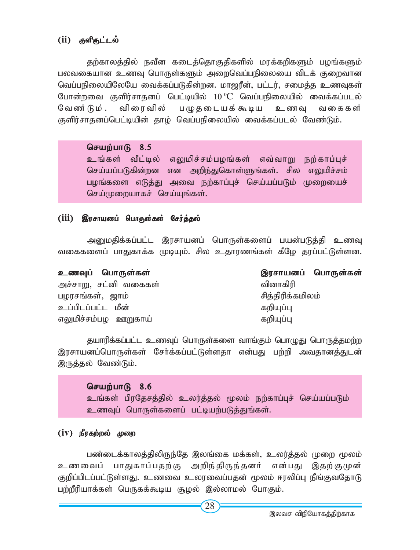### (ii) குளிருட்டல்

தற்காலத்தில் நவீன கடைத்தொகுதிகளில் மரக்கறிகளும் பழங்களும் பலவகையான உணவு பொருள்களும் அறைவெப்பநிலையை விடக் குறைவான வெப்பநிலையிலேயே வைக்கப்படுகின்றன. மாஜரீன், பட்டர், சமைத்த உணவுகள் போன்றவை குளிர்சாதனப் பெட்டியில் 10 <sup>0</sup>C வெப்பநிலையில் வைக்கப்படல் வேண்டும். விரைவில் பழுதடையக்கூடிய உணவு வகைகள் குளிர்சாதனப்பெட்டியின் தாழ் வெப்பநிலையில் வைக்கப்படல் வேண்டும்.

### செயற்பாடு  $8.5$

உங்கள் வீட்டில் எலுமிச்சம்பழங்கள் எவ்வாறு நற்காப்புச் செய்யப்படுகின்றன என அறிந்துகொள்ளுங்கள். சில எலுமிச்சம் பழங்களை எடுத்து அவை நற்காப்புச் செய்யப்படும் முறையைச் செய்முறையாகச் செய்யுங்கள்.

# (iii) இரசாயனப் பொ<mark>ருள்கள் சேர்த்தல்</mark>

அனுமதிக்கப்பட்ட இரசாயனப் பொருள்களைப் பயன்படுத்தி உணவு வகைகளைப் பாதுகாக்க முடியும். சில உதாரணங்கள் கீழே தரப்பட்டுள்ளன.

| உணவுப் பொருள்கள்      | இரசாயனப் பொருள்கள் |
|-----------------------|--------------------|
| அச்சாறு, சட்னி வகைகள் | வினாகிரி           |
| பழரசங்கள், ஜாம்       | சித்திரிக்கமிலம்   |
| உப்பிடப்பட்ட மீன்     | கறியுப்பு          |
| எலுமிச்சம்பழ ஊறுகாய்  | கறியுப்பு          |

தயாரிக்கப்பட்ட உணவுப் பொருள்களை வாங்கும் பொழுது பொருத்தமற்ற இரசாயனப்பொருள்கள் சேர்க்கப்பட்டுள்ளதா என்பது பற்றி அவதானத்துடன் இருத்தல் வேண்டும்.

#### செயற்பாடு 8.6

உங்கள் பிரதேசத்தில் உலர்த்தல் மூலம் நற்காப்புச் செய்யப்படும் உணவுப் பொருள்களைப் பட்டியற்படுத்துங்கள்.

### (iv) நீரகற்றல் முறை

பண்டைக்காலத்திலிருந்தே இலங்கை மக்கள், உலர்த்தல் முறை மூலம் உணவைப் பாதுகாப்பதற்கு அறிந்திருந்தனர் என்பது இதற்குமுன் குறிப்பிடப்பட்டுள்ளது. உணவை உலரவைப்பதன் மூலம் ஈரலிப்பு நீங்குவதோடு பற்றீரியாக்கள் பெருகக்கூடிய சூழல் இல்லாமல் போகும்.